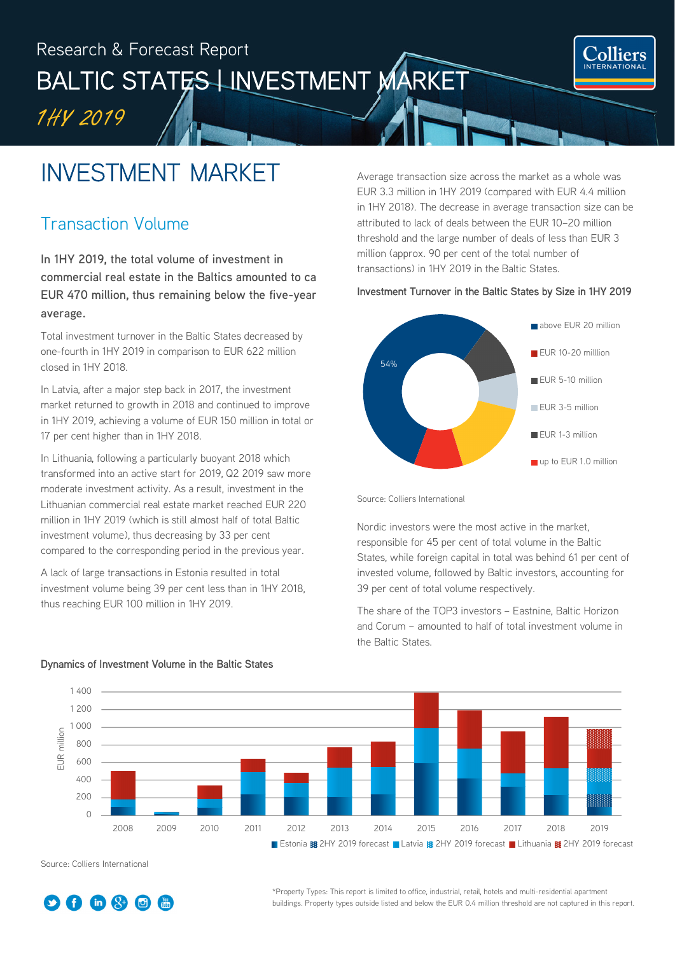## Research & Forecast Report BALTIC STATES LINVESTMENT MARKET 1H<sup>Y</sup> 2019

## INVESTMENT MARKET Ξ

## Transaction Volume

**In 1HY 2019, the total volume of investment in commercial real estate in the Baltics amounted to ca EUR 470 million, thus remaining below the five-year average.**

Total investment turnover in the Baltic States decreased by one-fourth in 1HY 2019 in comparison to EUR 622 million closed in 1HY 2018.

In Latvia, after a major step back in 2017, the investment market returned to growth in 2018 and continued to improve in 1HY 2019, achieving a volume of EUR 150 million in total or 17 per cent higher than in 1HY 2018.

In Lithuania, following a particularly buoyant 2018 which transformed into an active start for 2019, Q2 2019 saw more moderate investment activity. As a result, investment in the Lithuanian commercial real estate market reached EUR 220 million in 1HY 2019 (which is still almost half of total Baltic investment volume), thus decreasing by 33 per cent compared to the corresponding period in the previous year.

A lack of large transactions in Estonia resulted in total investment volume being 39 per cent less than in 1HY 2018, thus reaching EUR 100 million in 1HY 2019.

Average transaction size across the market as a whole was EUR 3.3 million in 1HY 2019 (compared with EUR 4.4 million in 1HY 2018). The decrease in average transaction size can be attributed to lack of deals between the EUR 10–20 million threshold and the large number of deals of less than EUR 3 million (approx. 90 per cent of the total number of transactions) in 1HY 2019 in the Baltic States.

**Colliers** 

#### Investment Turnover in the Baltic States by Size in 1HY 2019



Source: Colliers International

Nordic investors were the most active in the market, responsible for 45 per cent of total volume in the Baltic States, while foreign capital in total was behind 61 per cent of invested volume, followed by Baltic investors, accounting for 39 per cent of total volume respectively.

The share of the TOP3 investors – Eastnine, Baltic Horizon and Corum – amounted to half of total investment volume in the Baltic States.



#### Dynamics of Investment Volume in the Baltic States

Source: Colliers International



\*Property Types: This report is limited to office, industrial, retail, hotels and multi-residential apartment buildings. Property types outside listed and below the EUR 0.4 million threshold are not captured in this report.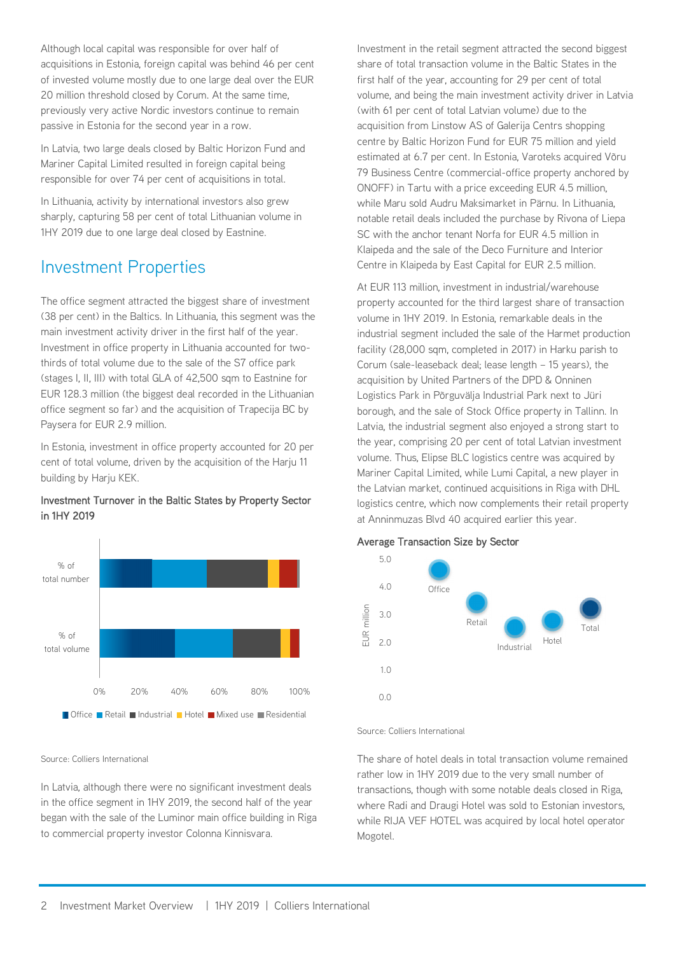Although local capital was responsible for over half of acquisitions in Estonia, foreign capital was behind 46 per cent of invested volume mostly due to one large deal over the EUR 20 million threshold closed by Corum. At the same time, previously very active Nordic investors continue to remain passive in Estonia for the second year in a row.

In Latvia, two large deals closed by Baltic Horizon Fund and Mariner Capital Limited resulted in foreign capital being responsible for over 74 per cent of acquisitions in total.

In Lithuania, activity by international investors also grew sharply, capturing 58 per cent of total Lithuanian volume in 1HY 2019 due to one large deal closed by Eastnine.

## Investment Properties

The office segment attracted the biggest share of investment (38 per cent) in the Baltics. In Lithuania, this segment was the main investment activity driver in the first half of the year. Investment in office property in Lithuania accounted for twothirds of total volume due to the sale of the S7 office park (stages I, II, III) with total GLA of 42,500 sqm to Eastnine for EUR 128.3 million (the biggest deal recorded in the Lithuanian office segment so far) and the acquisition of Trapecija BC by Paysera for EUR 2.9 million.

In Estonia, investment in office property accounted for 20 per cent of total volume, driven by the acquisition of the Harju 11 building by Harju KEK.

#### Investment Turnover in the Baltic States by Property Sector in 1HY 2019



Source: Colliers International

In Latvia, although there were no significant investment deals in the office segment in 1HY 2019, the second half of the year began with the sale of the Luminor main office building in Riga to commercial property investor Colonna Kinnisvara.

Investment in the retail segment attracted the second biggest share of total transaction volume in the Baltic States in the first half of the year, accounting for 29 per cent of total volume, and being the main investment activity driver in Latvia (with 61 per cent of total Latvian volume) due to the acquisition from Linstow AS of Galerija Centrs shopping centre by Baltic Horizon Fund for EUR 75 million and yield estimated at 6.7 per cent. In Estonia, Varoteks acquired Võru 79 Business Centre (commercial-office property anchored by ONOFF) in Tartu with a price exceeding EUR 4.5 million, while Maru sold Audru Maksimarket in Pärnu. In Lithuania, notable retail deals included the purchase by Rivona of Liepa SC with the anchor tenant Norfa for EUR 4.5 million in Klaipeda and the sale of the Deco Furniture and Interior Centre in Klaipeda by East Capital for EUR 2.5 million.

At EUR 113 million, investment in industrial/warehouse property accounted for the third largest share of transaction volume in 1HY 2019. In Estonia, remarkable deals in the industrial segment included the sale of the Harmet production facility (28,000 sqm, completed in 2017) in Harku parish to Corum (sale-leaseback deal; lease length – 15 years), the acquisition by United Partners of the DPD & Onninen Logistics Park in Põrguvälja Industrial Park next to Jüri borough, and the sale of Stock Office property in Tallinn. In Latvia, the industrial segment also enjoyed a strong start to the year, comprising 20 per cent of total Latvian investment volume. Thus, Elipse BLC logistics centre was acquired by Mariner Capital Limited, while Lumi Capital, a new player in the Latvian market, continued acquisitions in Riga with DHL logistics centre, which now complements their retail property at Anninmuzas Blvd 40 acquired earlier this year.

#### Average Transaction Size by Sector



Source: Colliers International

The share of hotel deals in total transaction volume remained rather low in 1HY 2019 due to the very small number of transactions, though with some notable deals closed in Riga, where Radi and Draugi Hotel was sold to Estonian investors, while RIJA VEF HOTEL was acquired by local hotel operator Mogotel.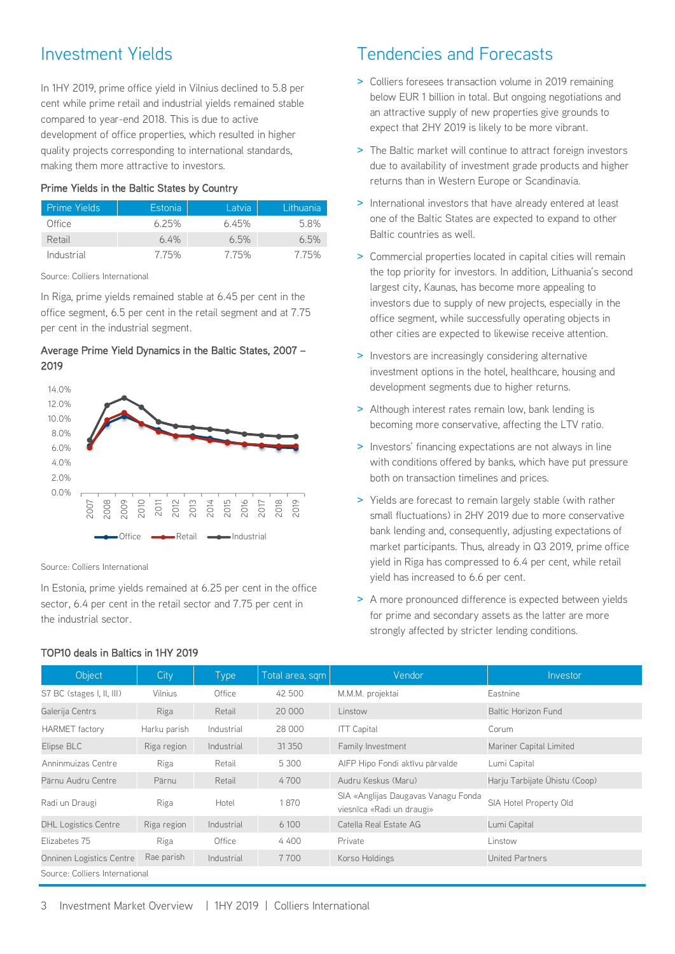## Investment Yields

In 1HY 2019, prime office yield in Vilnius declined to 5.8 per cent while prime retail and industrial yields remained stable compared to year-end 2018. This is due to active development of office properties, which resulted in higher quality projects corresponding to international standards, making them more attractive to investors.

#### Prime Yields in the Baltic States by Country

| <b>Prime Yields</b> | Estonia | Latvia | Lithuania |
|---------------------|---------|--------|-----------|
| Office              | 6.25%   | 6.45%  | 5.8%      |
| Retail              | $6.4\%$ | 6.5%   | 6.5%      |
| Industrial          | 7.75%   | 7.75%  | 7.75%     |

Source: Colliers International

In Riga, prime yields remained stable at 6.45 per cent in the office segment, 6.5 per cent in the retail segment and at 7.75 per cent in the industrial segment.

#### Average Prime Yield Dynamics in the Baltic States, 2007 – 2019



Source: Colliers International

In Estonia, prime yields remained at 6.25 per cent in the office sector, 6.4 per cent in the retail sector and 7.75 per cent in the industrial sector.

#### TOP10 deals in Baltics in 1HY 2019

## Tendencies and Forecasts

- > Colliers foresees transaction volume in 2019 remaining below EUR 1 billion in total. But ongoing negotiations and an attractive supply of new properties give grounds to expect that 2HY 2019 is likely to be more vibrant.
- > The Baltic market will continue to attract foreign investors due to availability of investment grade products and higher returns than in Western Europe or Scandinavia.
- > International investors that have already entered at least one of the Baltic States are expected to expand to other Baltic countries as well.
- > Commercial properties located in capital cities will remain the top priority for investors. In addition, Lithuania's second largest city, Kaunas, has become more appealing to investors due to supply of new projects, especially in the office segment, while successfully operating objects in other cities are expected to likewise receive attention.
- > Investors are increasingly considering alternative investment options in the hotel, healthcare, housing and development segments due to higher returns.
- > Although interest rates remain low, bank lending is becoming more conservative, affecting the LTV ratio.
- > Investors' financing expectations are not always in line with conditions offered by banks, which have put pressure both on transaction timelines and prices.
- > Yields are forecast to remain largely stable (with rather small fluctuations) in 2HY 2019 due to more conservative bank lending and, consequently, adjusting expectations of market participants. Thus, already in Q3 2019, prime office yield in Riga has compressed to 6.4 per cent, while retail yield has increased to 6.6 per cent.
- > A more pronounced difference is expected between yields for prime and secondary assets as the latter are more strongly affected by stricter lending conditions.

| Object                         | City <sub>1</sub> | <b>Type</b> | Total area, sqm | Vendor                                                           | Investor                      |  |  |
|--------------------------------|-------------------|-------------|-----------------|------------------------------------------------------------------|-------------------------------|--|--|
| S7 BC (stages I, II, III)      | Vilnius           | Office      | 42 500          | M.M.M. projektai                                                 | Eastnine                      |  |  |
| Galerija Centrs                | Riga              | Retail      | 20 000          | Linstow                                                          | <b>Baltic Horizon Fund</b>    |  |  |
| <b>HARMET</b> factory          | Harku parish      | Industrial  | 28 000          | <b>ITT Capital</b>                                               | Corum                         |  |  |
| Elipse BLC                     | Riga region       | Industrial  | 31 3 50         | Family Investment                                                | Mariner Capital Limited       |  |  |
| Anninmuizas Centre             | Riga              | Retail      | 5 300           | AIFP Hipo Fondi aktīvu pārvalde                                  | Lumi Capital                  |  |  |
| Pärnu Audru Centre             | Pärnu             | Retail      | 4700            | Audru Keskus (Maru)                                              | Harju Tarbijate Ühistu (Coop) |  |  |
| Radi un Draugi                 | Riga              | Hotel       | 1870            | SIA «Anglijas Daugavas Vanagu Fonda<br>viesnīca «Radi un draugi» | SIA Hotel Property Old        |  |  |
| <b>DHL Logistics Centre</b>    | Riga region       | Industrial  | 6 100           | Catella Real Estate AG                                           | Lumi Capital                  |  |  |
| Elizabetes 75                  | Riga              | Office      | 4 400           | Private                                                          | Linstow                       |  |  |
| Onninen Logistics Centre       | Rae parish        | Industrial  | 7700            | Korso Holdings                                                   | United Partners               |  |  |
| Source: Colliers International |                   |             |                 |                                                                  |                               |  |  |